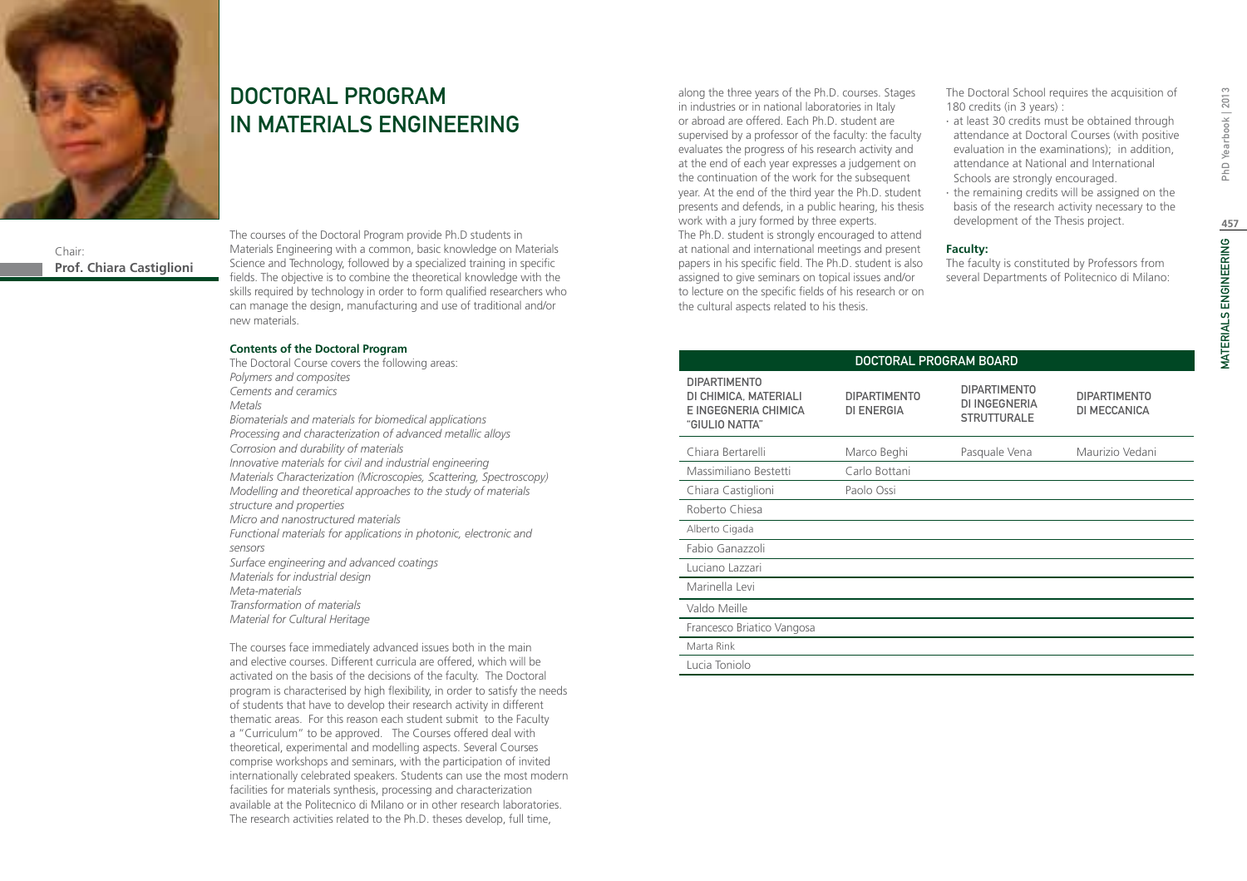

# DOCTORAL PROGRAM IN MATERIALS ENGINEERING

Chair: **Prof. Chiara Castiglioni** The courses of the Doctoral Program provide Ph.D students in Materials Engineering with a common, basic knowledge on Materials Science and Technology, followed by a specialized training in specific fields. The objective is to combine the theoretical knowledge with the skills required by technology in order to form qualified researchers who can manage the design, manufacturing and use of traditional and/or new materials.

#### **Contents of the Doctoral Program**

The Doctoral Course covers the following areas: *Polymers and composites Cements and ceramics Metals Biomaterials and materials for biomedical applications Processing and characterization of advanced metallic alloys Corrosion and durability of materials Innovative materials for civil and industrial engineering Materials Characterization (Microscopies, Scattering, Spectroscopy) Modelling and theoretical approaches to the study of materials structure and properties Micro and nanostructured materials Functional materials for applications in photonic, electronic and sensors Surface engineering and advanced coatings Materials for industrial design Meta-materials Transformation of materials Material for Cultural Heritage* 

The courses face immediately advanced issues both in the main and elective courses. Different curricula are offered, which will be activated on the basis of the decisions of the faculty. The Doctoral program is characterised by high flexibility, in order to satisfy the needs of students that have to develop their research activity in different thematic areas. For this reason each student submit to the Faculty a "Curriculum" to be approved. The Courses offered deal with theoretical, experimental and modelling aspects. Several Courses comprise workshops and seminars, with the participation of invited internationally celebrated speakers. Students can use the most modern facilities for materials synthesis, processing and characterization available at the Politecnico di Milano or in other research laboratories. The research activities related to the Ph.D. theses develop, full time,

along the three years of the Ph.D. courses. Stages in industries or in national laboratories in Italy or abroad are offered. Each Ph.D. student are supervised by a professor of the faculty: the faculty evaluates the progress of his research activity and at the end of each year expresses a judgement on the continuation of the work for the subsequent year. At the end of the third year the Ph.D. student presents and defends, in a public hearing, his thesis work with a jury formed by three experts. The Ph.D. student is strongly encouraged to attend at national and international meetings and present papers in his specific field. The Ph.D. student is also assigned to give seminars on topical issues and/or to lecture on the specific fields of his research or on

the cultural aspects related to his thesis.

The Doctoral School requires the acquisition of 180 credits (in 3 years) :

- ∙ at least 30 credits must be obtained through attendance at Doctoral Courses (with positive evaluation in the examinations); in addition, attendance at National and International Schools are strongly encouraged.
- ∙ the remaining credits will be assigned on the basis of the research activity necessary to the development of the Thesis project.

#### **Faculty:**

The faculty is constituted by Professors from several Departments of Politecnico di Milano:

| DOCTORAL PROGRAM BOARD                                                                 |                                          |                                                            |                                     |  |
|----------------------------------------------------------------------------------------|------------------------------------------|------------------------------------------------------------|-------------------------------------|--|
| <b>DIPARTIMENTO</b><br>DI CHIMICA, MATERIALI<br>E INGEGNERIA CHIMICA<br>"GIULIO NATTA" | <b>DIPARTIMENTO</b><br><b>DI ENERGIA</b> | <b>DIPARTIMENTO</b><br>DI INGEGNERIA<br><b>STRUTTURALE</b> | <b>DIPARTIMENTO</b><br>DI MECCANICA |  |
| Chiara Bertarelli                                                                      | Marco Beghi                              | Pasquale Vena                                              | Maurizio Vedani                     |  |
| Massimiliano Bestetti                                                                  | Carlo Bottani                            |                                                            |                                     |  |
| Chiara Castiglioni                                                                     | Paolo Ossi                               |                                                            |                                     |  |
| Roberto Chiesa                                                                         |                                          |                                                            |                                     |  |
| Alberto Cigada                                                                         |                                          |                                                            |                                     |  |
| Fabio Ganazzoli                                                                        |                                          |                                                            |                                     |  |
| Luciano Lazzari                                                                        |                                          |                                                            |                                     |  |
| Marinella Levi                                                                         |                                          |                                                            |                                     |  |
| Valdo Meille                                                                           |                                          |                                                            |                                     |  |
| Francesco Briatico Vangosa                                                             |                                          |                                                            |                                     |  |
| Marta Rink                                                                             |                                          |                                                            |                                     |  |
| Lucia Toniolo                                                                          |                                          |                                                            |                                     |  |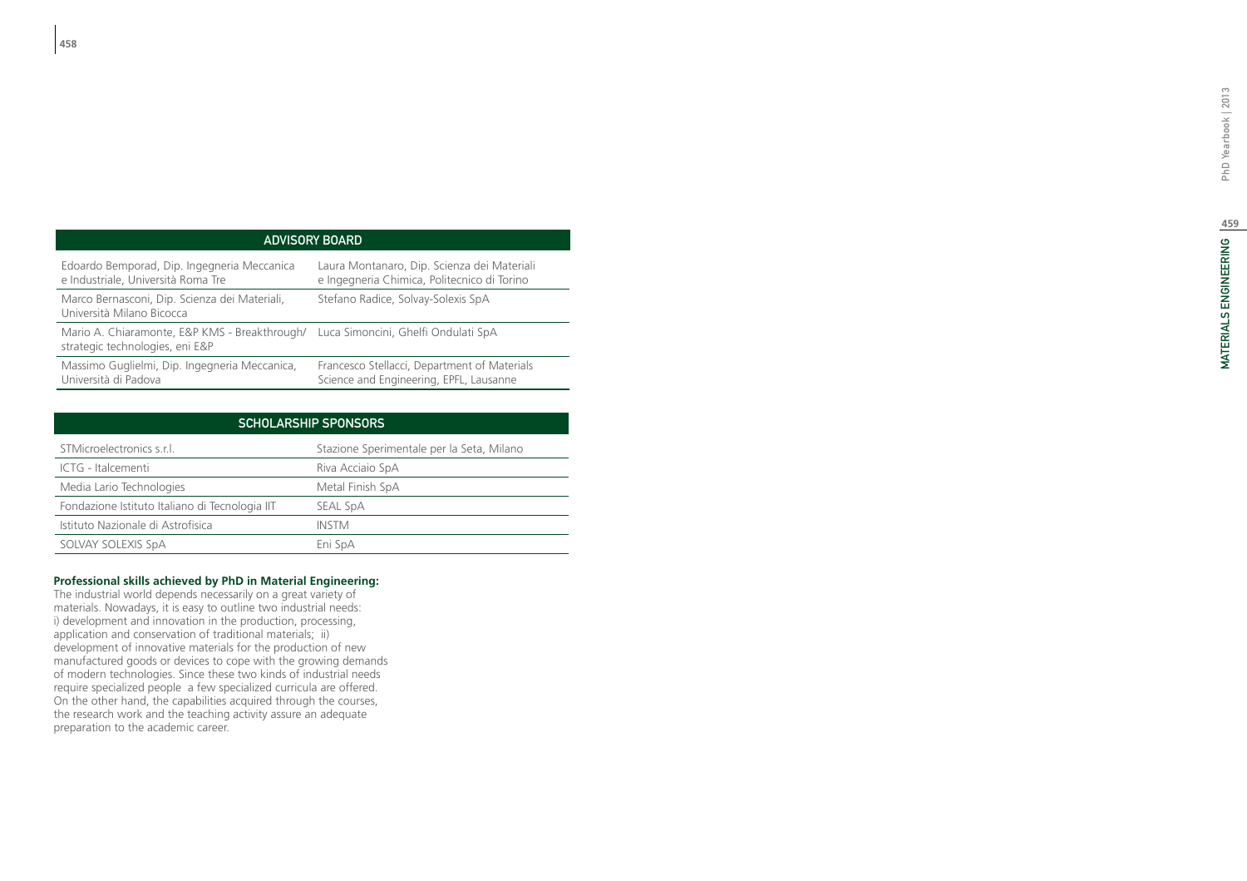### ADVISORY B

| Edoardo Bemporad, Dip. Ingegneria Meccanica                                                                          | Laura Montanaro, Dip. Scienza dei Materiali  |
|----------------------------------------------------------------------------------------------------------------------|----------------------------------------------|
| e Industriale, Università Roma Tre                                                                                   | e Ingegneria Chimica, Politecnico di Torino  |
| Marco Bernasconi, Dip. Scienza dei Materiali,<br>Università Milano Bicocca                                           | Stefano Radice, Solvay-Solexis SpA           |
| Mario A. Chiaramonte, E&P KMS - Breakthrough/ Luca Simoncini, Ghelfi Ondulati SpA<br>strategic technologies, eni E&P |                                              |
| Massimo Guglielmi, Dip. Ingegneria Meccanica,                                                                        | Francesco Stellacci, Department of Materials |
| Università di Padova                                                                                                 | Science and Engineering, EPFL, Lausanne      |

| <b>SCHOLARSHIP SPONSORS</b>                    |                                           |  |  |
|------------------------------------------------|-------------------------------------------|--|--|
| STMicroelectronics s.r.l.                      | Stazione Sperimentale per la Seta, Milano |  |  |
| ICTG - Italcementi                             | Riva Acciaio SpA                          |  |  |
| Media Lario Technologies                       | Metal Finish SpA                          |  |  |
| Fondazione Istituto Italiano di Tecnologia IIT | SEAL SpA                                  |  |  |
| Istituto Nazionale di Astrofisica              | <b>INSTM</b>                              |  |  |
| SOLVAY SOLEXIS SpA                             | Eni SpA                                   |  |  |

### **Professional skills achieved by PhD in Material Engineering:**

The industrial world depends necessarily on a great variety of materials. Nowadays, it is easy to outline two industrial needs: i) development and innovation in the production, processing, application and conservation of traditional materials; ii) development of innovative materials for the production of new manufactured goods or devices to cope with the growing demands of modern technologies. Since these two kinds of industrial needs require specialized people a few specialized curricula are offered. On the other hand, the capabilities acquired through the courses, the research work and the teaching activity assure an adequate preparation to the academic career.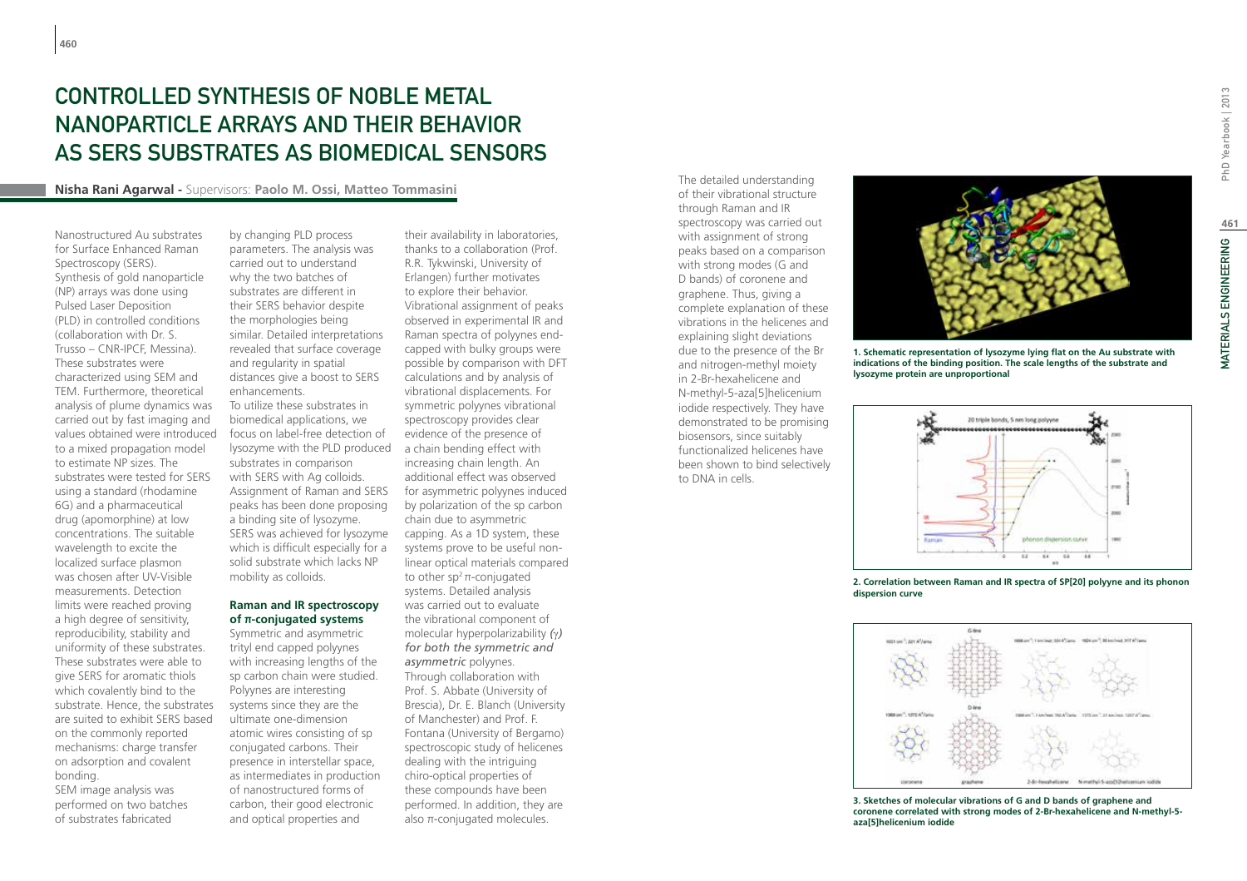# CONTROLLED SYNTHESIS OF NOBLE METAL nanoparticle arrays and their behavior as SERS substrates as biomedical sensors

#### **Nisha Rani Agarwal -** Supervisors: **Paolo M. Ossi, Matteo Tommasini**

Nanostructured Au substrates for Surface Enhanced Raman Spectroscopy (SERS). Synthesis of gold nanoparticle (NP) arrays was done using Pulsed Laser Deposition (PLD) in controlled conditions (collaboration with Dr. S. Trusso – CNR-IPCF, Messina). These substrates were characterized using SEM and TEM. Furthermore, theoretical analysis of plume dynamics was carried out by fast imaging and values obtained were introduced to a mixed propagation model to estimate NP sizes. The substrates were tested for SERS using a standard (rhodamine 6G) and a pharmaceutical drug (apomorphine) at low concentrations. The suitable wavelength to excite the localized surface plasmon was chosen after UV-Visible measurements. Detection limits were reached proving a high degree of sensitivity, reproducibility, stability and uniformity of these substrates. These substrates were able to give SERS for aromatic thiols which covalently bind to the substrate. Hence, the substrates are suited to exhibit SERS based on the commonly reported mechanisms: charge transfer on adsorption and covalent bonding.

SEM image analysis was performed on two batches of substrates fabricated

by changing PLD process parameters. The analysis was carried out to understand why the two batches of substrates are different in their SERS behavior despite the morphologies being similar. Detailed interpretations revealed that surface coverage and regularity in spatial distances give a boost to SERS enhancements. To utilize these substrates in biomedical applications, we focus on label-free detection of lysozyme with the PLD produced substrates in comparison with SERS with Ag colloids. Assignment of Raman and SERS peaks has been done proposing a binding site of lysozyme. SERS was achieved for lysozyme which is difficult especially for a solid substrate which lacks NP mobility as colloids.

### **Raman and IR spectroscopy of π-conjugated systems**

Symmetric and asymmetric trityl end capped polyynes with increasing lengths of the sp carbon chain were studied. Polyynes are interesting systems since they are the ultimate one-dimension atomic wires consisting of sp conjugated carbons. Their presence in interstellar space, as intermediates in production of nanostructured forms of carbon, their good electronic and optical properties and

their availability in laboratories, thanks to a collaboration (Prof. R.R. Tykwinski, University of Erlangen) further motivates to explore their behavior. Vibrational assignment of peaks observed in experimental IR and Raman spectra of polyynes endcapped with bulky groups were possible by comparison with DFT calculations and by analysis of vibrational displacements. For symmetric polyynes vibrational spectroscopy provides clear evidence of the presence of a chain bending effect with increasing chain length. An additional effect was observed for asymmetric polyynes induced by polarization of the sp carbon chain due to asymmetric capping. As a 1D system, these systems prove to be useful nonlinear optical materials compared to other  $sp^2 \pi$ -conjugated systems. Detailed analysis was carried out to evaluate the vibrational component of molecular hyperpolarizability *(*γ*) for both the symmetric and asymmetric* polyynes. Through collaboration with Prof. S. Abbate (University of Brescia), Dr. E. Blanch (University of Manchester) and Prof. F. Fontana (University of Bergamo) spectroscopic study of helicenes dealing with the intriguing chiro-optical properties of these compounds have been performed. In addition, they are also π-conjugated molecules.

The detailed understanding of their vibrational structure through Raman and IR spectroscopy was carried out with assignment of strong peaks based on a comparison with strong modes (G and D bands) of coronene and graphene. Thus, giving a complete explanation of these vibrations in the helicenes and explaining slight deviations due to the presence of the Br and nitrogen-methyl moiety in 2-Br-hexahelicene and N-methyl-5-aza[5]helicenium iodide respectively. They have demonstrated to be promising biosensors, since suitably functionalized helicenes have been shown to bind selectively to DNA in cells.



**1. Schematic representation of lysozyme lying flat on the Au substrate with indications of the binding position. The scale lengths of the substrate and lysozyme protein are unproportional**



**2. Correlation between Raman and IR spectra of SP[20] polyyne and its phonon dispersion curve**



**3. Sketches of molecular vibrations of G and D bands of graphene and coronene correlated with strong modes of 2-Br-hexahelicene and N-methyl-5 aza[5]helicenium iodide**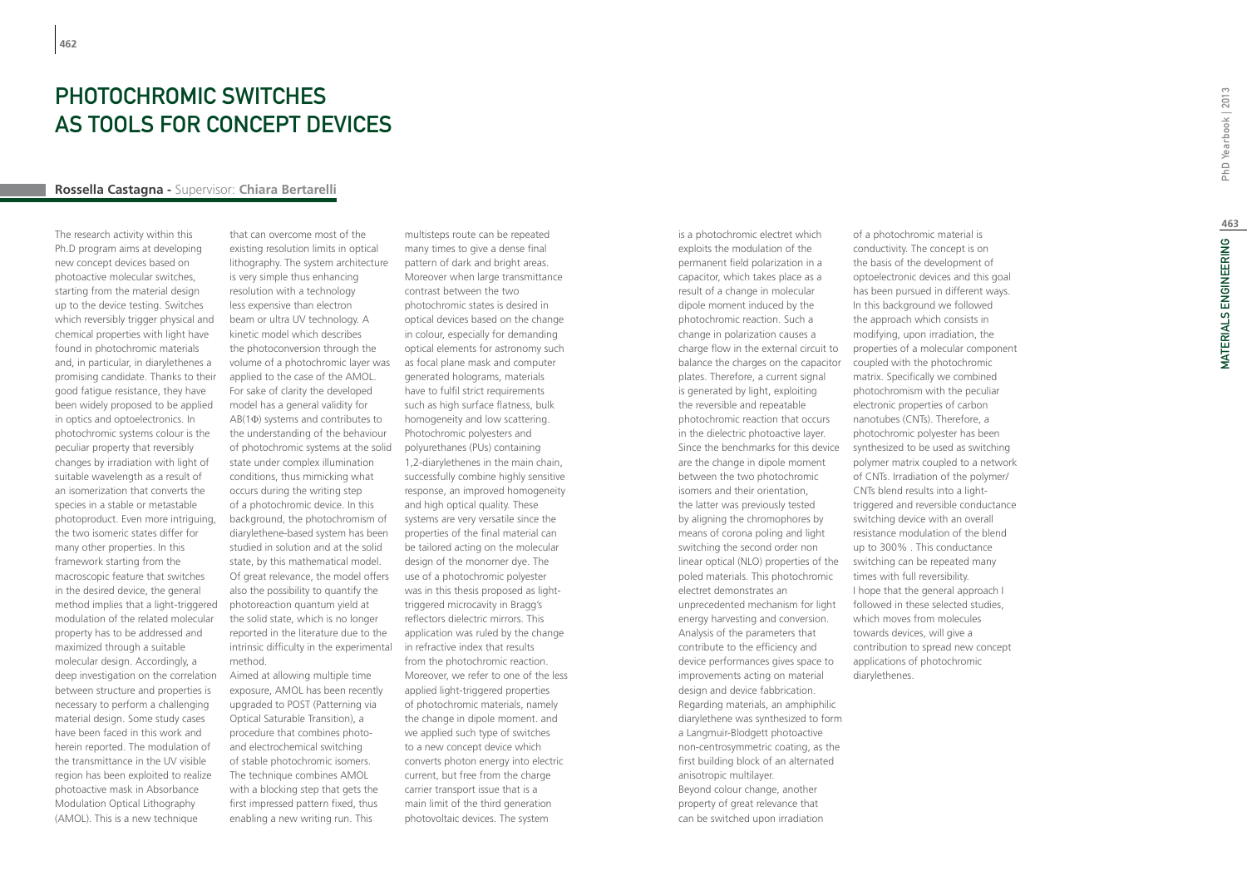## Photochromic switches as tools for concept devices

#### **Rossella Castagna -** Supervisor: **Chiara Bertarelli**

The research activity within this Ph.D program aims at developing new concept devices based on photoactive molecular switches, starting from the material design up to the device testing. Switches which reversibly trigger physical and chemical properties with light have found in photochromic materials and, in particular, in diarylethenes a promising candidate. Thanks to their good fatigue resistance, they have been widely proposed to be applied in optics and optoelectronics. In photochromic systems colour is the peculiar property that reversibly changes by irradiation with light of suitable wavelength as a result of an isomerization that converts the species in a stable or metastable photoproduct. Even more intriguing, the two isomeric states differ for many other properties. In this framework starting from the macroscopic feature that switches in the desired device, the general method implies that a light-triggered modulation of the related molecular property has to be addressed and maximized through a suitable molecular design. Accordingly, a deep investigation on the correlation between structure and properties is necessary to perform a challenging material design. Some study cases have been faced in this work and herein reported. The modulation of the transmittance in the UV visible region has been exploited to realize photoactive mask in Absorbance Modulation Optical Lithography (AMOL). This is a new technique

that can overcome most of the existing resolution limits in optical lithography. The system architecture is very simple thus enhancing resolution with a technology less expensive than electron beam or ultra UV technology. A kinetic model which describes the photoconversion through the volume of a photochromic layer was applied to the case of the AMOL. For sake of clarity the developed model has a general validity for AB(1Φ) systems and contributes to the understanding of the behaviour of photochromic systems at the solid state under complex illumination conditions, thus mimicking what occurs during the writing step of a photochromic device. In this background, the photochromism of diarylethene-based system has been studied in solution and at the solid state, by this mathematical model. Of great relevance, the model offers also the possibility to quantify the photoreaction quantum yield at the solid state, which is no longer reported in the literature due to the intrinsic difficulty in the experimental method.

Aimed at allowing multiple time exposure, AMOL has been recently upgraded to POST (Patterning via Optical Saturable Transition), a procedure that combines photoand electrochemical switching of stable photochromic isomers. The technique combines AMOL with a blocking step that gets the first impressed pattern fixed, thus enabling a new writing run. This

multisteps route can be repeated many times to give a dense final pattern of dark and bright areas. Moreover when large transmittance contrast between the two photochromic states is desired in optical devices based on the change in colour, especially for demanding optical elements for astronomy such as focal plane mask and computer generated holograms, materials have to fulfil strict requirements such as high surface flatness, bulk homogeneity and low scattering. Photochromic polyesters and polyurethanes (PUs) containing 1,2-diarylethenes in the main chain, successfully combine highly sensitive response, an improved homogeneity and high optical quality. These systems are very versatile since the properties of the final material can be tailored acting on the molecular design of the monomer dye. The use of a photochromic polyester was in this thesis proposed as lighttriggered microcavity in Bragg's reflectors dielectric mirrors. This application was ruled by the change in refractive index that results from the photochromic reaction. Moreover, we refer to one of the less applied light-triggered properties of photochromic materials, namely the change in dipole moment. and we applied such type of switches to a new concept device which converts photon energy into electric current, but free from the charge carrier transport issue that is a main limit of the third generation photovoltaic devices. The system

is a photochromic electret which exploits the modulation of the permanent field polarization in a capacitor, which takes place as a result of a change in molecular dipole moment induced by the photochromic reaction. Such a change in polarization causes a charge flow in the external circuit to balance the charges on the capacitor plates. Therefore, a current signal is generated by light, exploiting the reversible and repeatable photochromic reaction that occurs in the dielectric photoactive layer. Since the benchmarks for this device are the change in dipole moment between the two photochromic isomers and their orientation, the latter was previously tested by aligning the chromophores by means of corona poling and light switching the second order non linear optical (NLO) properties of the poled materials. This photochromic electret demonstrates an unprecedented mechanism for light energy harvesting and conversion. Analysis of the parameters that contribute to the efficiency and device performances gives space to improvements acting on material design and device fabbrication. Regarding materials, an amphiphilic diarylethene was synthesized to form a Langmuir-Blodgett photoactive non-centrosymmetric coating, as the first building block of an alternated anisotropic multilayer. Beyond colour change, another property of great relevance that can be switched upon irradiation

of a photochromic material is conductivity. The concept is on the basis of the development of optoelectronic devices and this goal has been pursued in different ways. In this background we followed the approach which consists in modifying, upon irradiation, the properties of a molecular component coupled with the photochromic matrix. Specifically we combined photochromism with the peculiar electronic properties of carbon nanotubes (CNTs). Therefore, a photochromic polyester has been synthesized to be used as switching polymer matrix coupled to a network of CNTs. Irradiation of the polymer/ CNTs blend results into a lighttriggered and reversible conductance switching device with an overall resistance modulation of the blend up to 300% . This conductance switching can be repeated many times with full reversibility. I hope that the general approach I followed in these selected studies, which moves from molecules towards devices, will give a contribution to spread new concept applications of photochromic diarylethenes.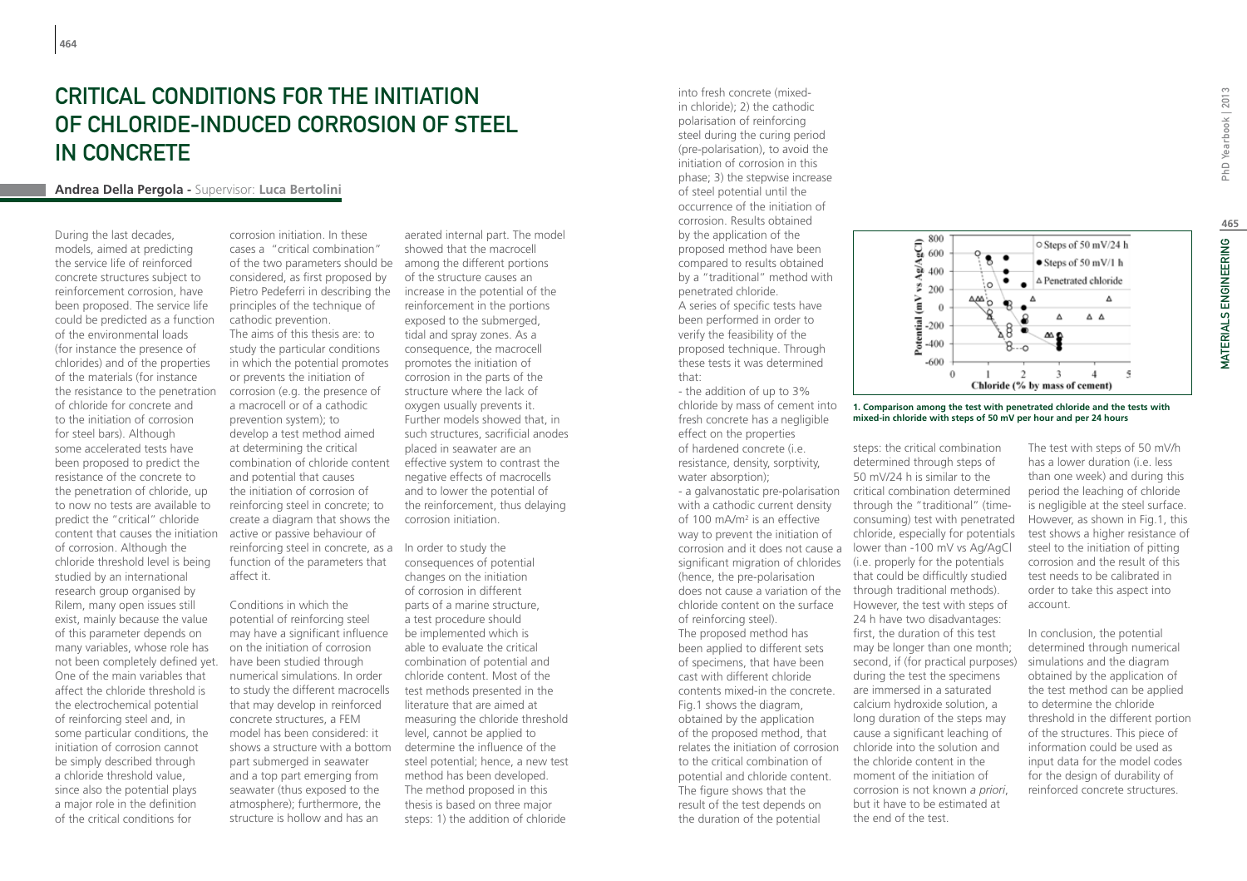# Critical conditions for the initiation of chloride-induced corrosion of steel in concrete

### **Andrea Della Pergola -** Supervisor: **Luca Bertolini**

During the last decades, models, aimed at predicting the service life of reinforced concrete structures subject to reinforcement corrosion, have been proposed. The service life could be predicted as a function of the environmental loads (for instance the presence of chlorides) and of the properties of the materials (for instance the resistance to the penetration of chloride for concrete and to the initiation of corrosion for steel bars). Although some accelerated tests have been proposed to predict the resistance of the concrete to the penetration of chloride, up to now no tests are available to predict the "critical" chloride content that causes the initiation of corrosion. Although the chloride threshold level is being studied by an international research group organised by Rilem, many open issues still exist, mainly because the value of this parameter depends on many variables, whose role has not been completely defined yet. One of the main variables that affect the chloride threshold is the electrochemical potential of reinforcing steel and, in some particular conditions, the initiation of corrosion cannot be simply described through a chloride threshold value, since also the potential plays a major role in the definition of the critical conditions for

of the two parameters should be among the different portions corrosion initiation. In these cases a "critical combination" considered, as first proposed by Pietro Pedeferri in describing the principles of the technique of cathodic prevention. The aims of this thesis are: to

reinforcing steel in concrete, as a In order to study the study the particular conditions in which the potential promotes or prevents the initiation of corrosion (e.g. the presence of a macrocell or of a cathodic prevention system); to develop a test method aimed at determining the critical combination of chloride content and potential that causes the initiation of corrosion of reinforcing steel in concrete; to create a diagram that shows the active or passive behaviour of function of the parameters that affect it.

Conditions in which the potential of reinforcing steel may have a significant influence on the initiation of corrosion have been studied through numerical simulations. In order to study the different macrocells that may develop in reinforced concrete structures, a FEM model has been considered: it shows a structure with a bottom part submerged in seawater and a top part emerging from seawater (thus exposed to the atmosphere); furthermore, the structure is hollow and has an

aerated internal part. The model showed that the macrocell of the structure causes an increase in the potential of the reinforcement in the portions exposed to the submerged, tidal and spray zones. As a consequence, the macrocell promotes the initiation of corrosion in the parts of the structure where the lack of oxygen usually prevents it. Further models showed that, in such structures, sacrificial anodes placed in seawater are an effective system to contrast the negative effects of macrocells and to lower the potential of the reinforcement, thus delaying corrosion initiation.

consequences of potential changes on the initiation of corrosion in different parts of a marine structure, a test procedure should be implemented which is able to evaluate the critical combination of potential and chloride content. Most of the test methods presented in the literature that are aimed at measuring the chloride threshold level, cannot be applied to determine the influence of the steel potential; hence, a new test method has been developed. The method proposed in this thesis is based on three major steps: 1) the addition of chloride

into fresh concrete (mixedin chloride); 2) the cathodic polarisation of reinforcing steel during the curing period (pre-polarisation), to avoid the initiation of corrosion in this phase; 3) the stepwise increase of steel potential until the occurrence of the initiation of corrosion. Results obtained by the application of the proposed method have been compared to results obtained by a "traditional" method with penetrated chloride. A series of specific tests have been performed in order to verify the feasibility of the proposed technique. Through these tests it was determined that:

- the addition of up to 3% chloride by mass of cement into fresh concrete has a negligible effect on the properties of hardened concrete (i.e. resistance, density, sorptivity, water absorption);

significant migration of chlorides (i.e. properly for the potentials does not cause a variation of the through traditional methods). - a galvanostatic pre-polarisation with a cathodic current density of 100 mA/m2 is an effective way to prevent the initiation of (hence, the pre-polarisation chloride content on the surface of reinforcing steel). The proposed method has been applied to different sets of specimens, that have been cast with different chloride contents mixed-in the concrete. Fig.1 shows the diagram, obtained by the application of the proposed method, that relates the initiation of corrosion to the critical combination of potential and chloride content. The figure shows that the result of the test depends on the duration of the potential



#### **1. Comparison among the test with penetrated chloride and the tests with mixed-in chloride with steps of 50 mV per hour and per 24 hours**

steps: the critical combination determined through steps of 50 mV/24 h is similar to the critical combination determined through the "traditional" (timeconsuming) test with penetrated chloride, especially for potentials corrosion and it does not cause a lower than -100 mV vs Ag/AgCl that could be difficultly studied However, the test with steps of 24 h have two disadvantages: first, the duration of this test may be longer than one month; second, if (for practical purposes) during the test the specimens are immersed in a saturated calcium hydroxide solution, a long duration of the steps may cause a significant leaching of chloride into the solution and the chloride content in the moment of the initiation of corrosion is not known *a priori*, but it have to be estimated at the end of the test.

The test with steps of 50 mV/h has a lower duration (i.e. less than one week) and during this period the leaching of chloride is negligible at the steel surface. However, as shown in Fig.1, this test shows a higher resistance of steel to the initiation of pitting corrosion and the result of this test needs to be calibrated in order to take this aspect into account.

In conclusion, the potential determined through numerical simulations and the diagram obtained by the application of the test method can be applied to determine the chloride threshold in the different portion of the structures. This piece of information could be used as input data for the model codes for the design of durability of reinforced concrete structures.

PhD Yearbook | 2013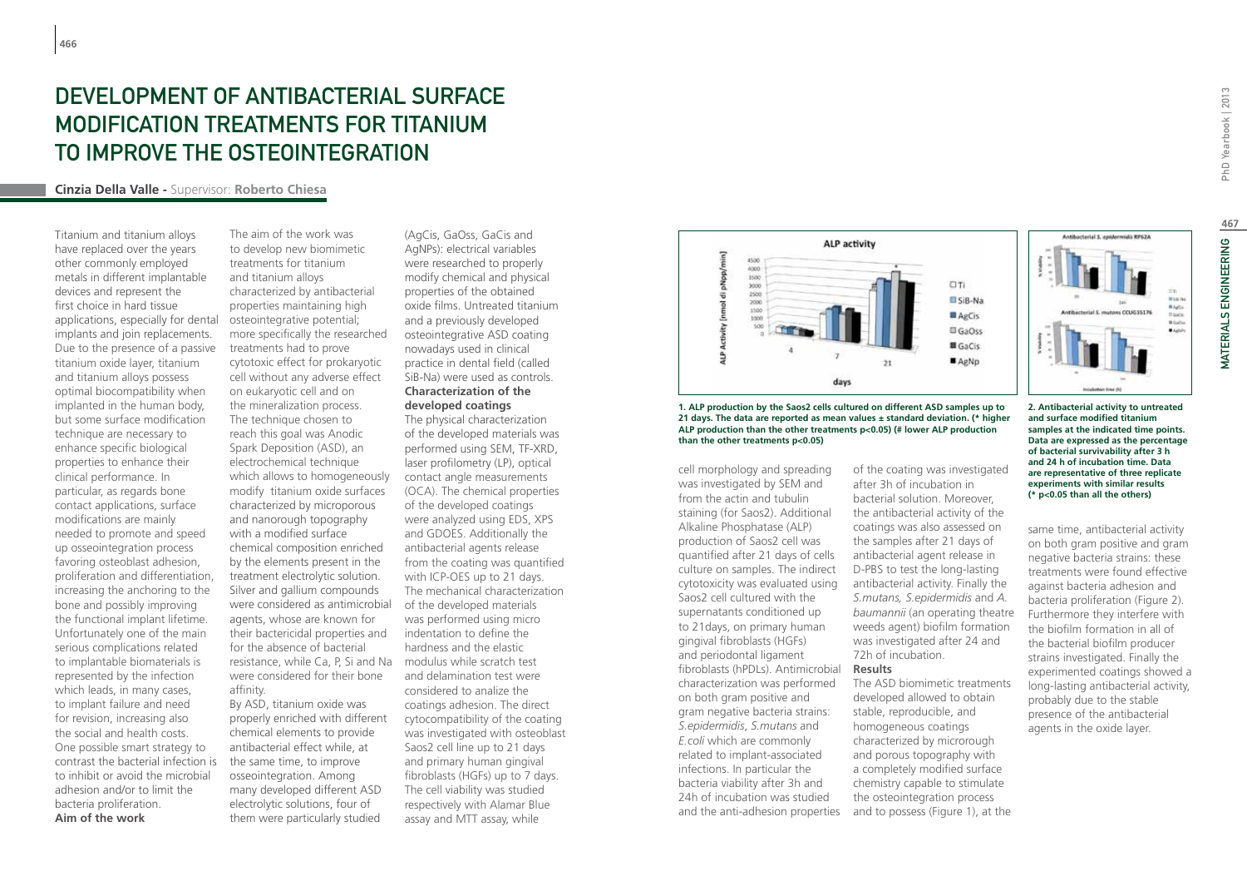# DEVELOPMENT OF ANTIBACTERIAL SURFACE modification treatments for titanium to improve the osteointegration

### **Cinzia Della Valle -** Supervisor: **Roberto Chiesa**

Titanium and titanium alloys have replaced over the years other commonly employed metals in different implantable devices and represent the first choice in hard tissue applications, especially for dental implants and join replacements. Due to the presence of a passive titanium oxide layer, titanium and titanium alloys possess optimal biocompatibility when implanted in the human body, but some surface modification technique are necessary to enhance specific biological properties to enhance their clinical performance. In particular, as regards bone contact applications, surface modifications are mainly needed to promote and speed up osseointegration process favoring osteoblast adhesion, proliferation and differentiation, increasing the anchoring to the bone and possibly improving the functional implant lifetime. Unfortunately one of the main serious complications related to implantable biomaterials is represented by the infection which leads, in many cases, to implant failure and need for revision, increasing also the social and health costs. One possible smart strategy to contrast the bacterial infection is to inhibit or avoid the microbial adhesion and/or to limit the bacteria proliferation. **Aim of the work**

The aim of the work was to develop new biomimetic treatments for titanium and titanium alloys characterized by antibacterial properties maintaining high osteointegrative potential; more specifically the researched treatments had to prove cytotoxic effect for prokaryotic cell without any adverse effect on eukaryotic cell and on the mineralization process. The technique chosen to reach this goal was Anodic Spark Deposition (ASD), an electrochemical technique which allows to homogeneously modify titanium oxide surfaces characterized by microporous and nanorough topography with a modified surface chemical composition enriched by the elements present in the treatment electrolytic solution. Silver and gallium compounds were considered as antimicrobial agents, whose are known for their bactericidal properties and for the absence of bacterial resistance, while Ca, P, Si and Na were considered for their bone affinity.

By ASD, titanium oxide was properly enriched with different chemical elements to provide antibacterial effect while, at the same time, to improve osseointegration. Among many developed different ASD electrolytic solutions, four of them were particularly studied

(AgCis, GaOss, GaCis and AgNPs): electrical variables were researched to properly modify chemical and physical properties of the obtained oxide films. Untreated titanium and a previously developed osteointegrative ASD coating nowadays used in clinical practice in dental field (called SiB-Na) were used as controls. **Characterization of the developed coatings**

The physical characterization of the developed materials was performed using SEM, TF-XRD, laser profilometry (LP), optical contact angle measurements (OCA). The chemical properties of the developed coatings were analyzed using EDS, XPS and GDOES. Additionally the antibacterial agents release from the coating was quantified with ICP-OES up to 21 days. The mechanical characterization of the developed materials was performed using micro indentation to define the hardness and the elastic modulus while scratch test and delamination test were considered to analize the coatings adhesion. The direct cytocompatibility of the coating was investigated with osteoblast Saos2 cell line up to 21 days and primary human gingival fibroblasts (HGFs) up to 7 days. The cell viability was studied respectively with Alamar Blue assay and MTT assay, while



**1. ALP production by the Saos2 cells cultured on different ASD samples up to 21 days. The data are reported as mean values ± standard deviation. (\* higher ALP production than the other treatments p<0.05) (# lower ALP production than the other treatments p<0.05)**

cell morphology and spreading was investigated by SEM and from the actin and tubulin staining (for Saos2). Additional Alkaline Phosphatase (ALP) production of Saos2 cell was quantified after 21 days of cells culture on samples. The indirect cytotoxicity was evaluated using Saos2 cell cultured with the supernatants conditioned up to 21days, on primary human gingival fibroblasts (HGFs) and periodontal ligament fibroblasts (hPDLs). Antimicrobial characterization was performed on both gram positive and gram negative bacteria strains: *S.epidermidis*, *S.mutans* and *E.coli* which are commonly related to implant-associated infections. In particular the bacteria viability after 3h and 24h of incubation was studied and the anti-adhesion properties

of the coating was investigated after 3h of incubation in bacterial solution. Moreover, the antibacterial activity of the coatings was also assessed on the samples after 21 days of antibacterial agent release in D-PBS to test the long-lasting antibacterial activity. Finally the *S.mutans, S.epidermidis* and *A. baumannii* (an operating theatre weeds agent) biofilm formation was investigated after 24 and 72h of incubation.

#### **Results**

The ASD biomimetic treatments developed allowed to obtain stable, reproducible, and homogeneous coatings characterized by microrough and porous topography with a completely modified surface chemistry capable to stimulate the osteointegration process and to possess (Figure 1), at the

PhD Yearbook | 2013

**2. Antibacterial activity to untreated and surface modified titanium samples at the indicated time points. Data are expressed as the percentage of bacterial survivability after 3 h and 24 h of incubation time. Data are representative of three replicate experiments with similar results (\* p<0.05 than all the others)**

Antibacterial S. enidermidis RP62A

same time, antibacterial activity on both gram positive and gram negative bacteria strains: these treatments were found effective against bacteria adhesion and bacteria proliferation (Figure 2). Furthermore they interfere with the biofilm formation in all of the bacterial biofilm producer strains investigated. Finally the experimented coatings showed a long-lasting antibacterial activity, probably due to the stable presence of the antibacterial agents in the oxide layer.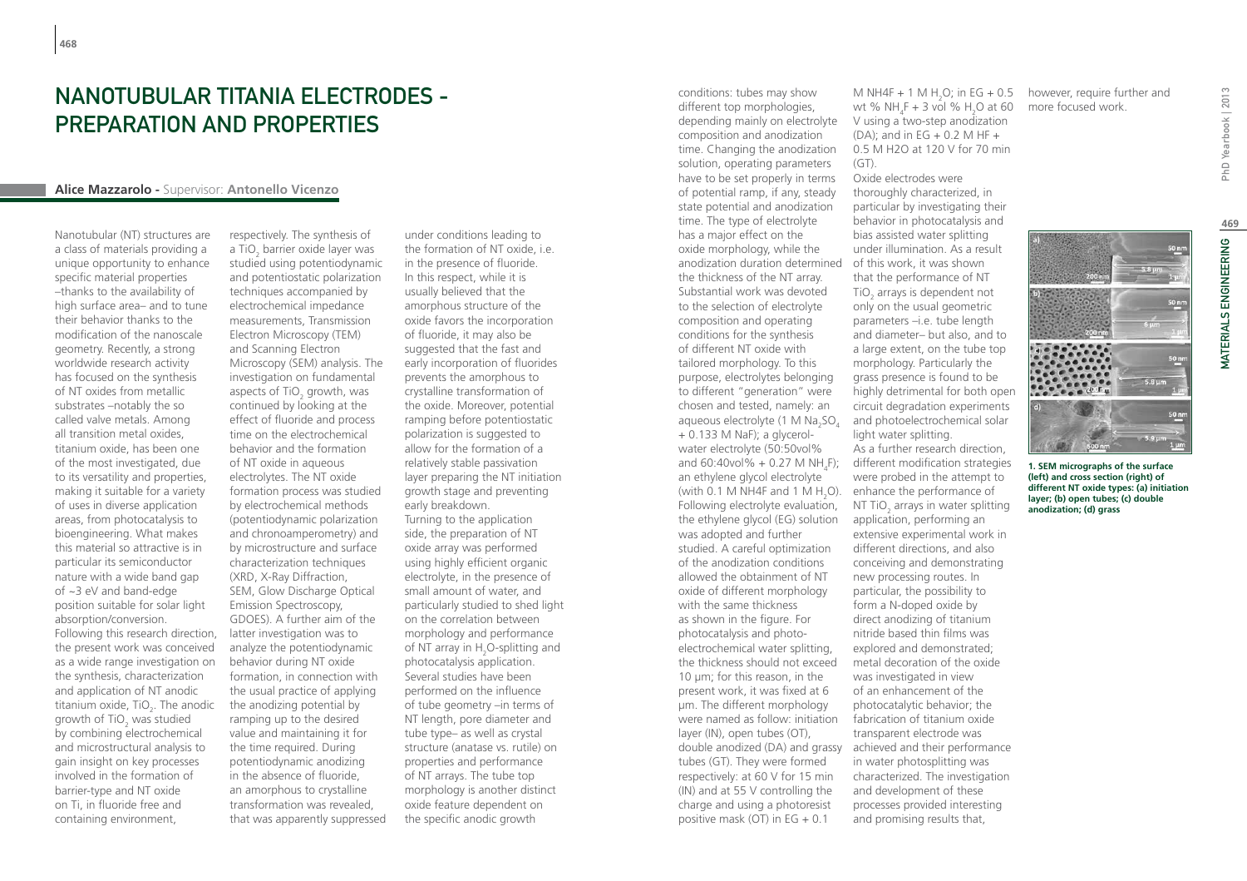### NANOTUBULAR TITANIA FI FCTRODES -PREPARATION AND PROPERTIES

### **Alice Mazzarolo -** Supervisor: **Antonello Vicenzo**

Nanotubular (NT) structures are a class of materials providing a unique opportunity to enhance specific material properties –thanks to the availability of high surface area– and to tune their behavior thanks to the modification of the nanoscale geometry. Recently, a strong worldwide research activity has focused on the synthesis of NT oxides from metallic substrates –notably the so called valve metals. Among all transition metal oxides, titanium oxide, has been one of the most investigated, due to its versatility and properties, making it suitable for a variety of uses in diverse application areas, from photocatalysis to bioengineering. What makes this material so attractive is in particular its semiconductor nature with a wide band gap of ~3 eV and band-edge position suitable for solar light absorption/conversion. Following this research direction, the present work was conceived as a wide range investigation on the synthesis, characterization and application of NT anodic titanium oxide,  $TiO<sub>2</sub>$ . The anodic growth of TiO<sub>2</sub> was studied by combining electrochemical and microstructural analysis to gain insight on key processes involved in the formation of barrier-type and NT oxide on Ti, in fluoride free and containing environment,

respectively. The synthesis of a TiO<sub>2</sub> barrier oxide layer was studied using potentiodynamic and potentiostatic polarization techniques accompanied by electrochemical impedance measurements, Transmission Electron Microscopy (TEM) and Scanning Electron Microscopy (SEM) analysis. The investigation on fundamental aspects of TiO<sub>2</sub> growth, was continued by looking at the effect of fluoride and process time on the electrochemical behavior and the formation of NT oxide in aqueous electrolytes. The NT oxide formation process was studied by electrochemical methods (potentiodynamic polarization and chronoamperometry) and by microstructure and surface characterization techniques (XRD, X-Ray Diffraction, SEM, Glow Discharge Optical Emission Spectroscopy, GDOES). A further aim of the latter investigation was to analyze the potentiodynamic behavior during NT oxide formation, in connection with the usual practice of applying the anodizing potential by ramping up to the desired value and maintaining it for the time required. During potentiodynamic anodizing in the absence of fluoride, an amorphous to crystalline transformation was revealed, that was apparently suppressed

under conditions leading to the formation of NT oxide, i.e. in the presence of fluoride. In this respect, while it is usually believed that the amorphous structure of the oxide favors the incorporation of fluoride, it may also be suggested that the fast and early incorporation of fluorides prevents the amorphous to crystalline transformation of the oxide. Moreover, potential ramping before potentiostatic polarization is suggested to allow for the formation of a relatively stable passivation layer preparing the NT initiation growth stage and preventing early breakdown. Turning to the application side, the preparation of NT oxide array was performed using highly efficient organic electrolyte, in the presence of small amount of water, and particularly studied to shed light on the correlation between morphology and performance of NT array in  $H_2$ O-splitting and photocatalysis application. Several studies have been performed on the influence of tube geometry –in terms of NT length, pore diameter and tube type– as well as crystal structure (anatase vs. rutile) on properties and performance of NT arrays. The tube top morphology is another distinct oxide feature dependent on the specific anodic growth

anodization duration determined of this work, it was shown and 60:40vol% + 0.27 M NH<sub>4</sub>F); different modification strategies (with 0.1 M NH4F and 1 M H<sub>2</sub>O). enhance the performance of double anodized (DA) and grassy achieved and their performance conditions: tubes may show different top morphologies, depending mainly on electrolyte composition and anodization time. Changing the anodization solution, operating parameters have to be set properly in terms of potential ramp, if any, steady state potential and anodization time. The type of electrolyte has a major effect on the oxide morphology, while the the thickness of the NT array. Substantial work was devoted to the selection of electrolyte composition and operating conditions for the synthesis of different NT oxide with tailored morphology. To this purpose, electrolytes belonging to different "generation" were chosen and tested, namely: an aqueous electrolyte (1 M  $\rm Na_{2}SO_{4}$ + 0.133 M NaF); a glycerolwater electrolyte (50:50vol% an ethylene glycol electrolyte Following electrolyte evaluation, the ethylene glycol (EG) solution was adopted and further studied. A careful optimization of the anodization conditions allowed the obtainment of NT oxide of different morphology with the same thickness as shown in the figure. For photocatalysis and photoelectrochemical water splitting, the thickness should not exceed 10 um; for this reason, in the present work, it was fixed at 6 μm. The different morphology were named as follow: initiation layer (IN), open tubes (OT), tubes (GT). They were formed respectively: at 60 V for 15 min (IN) and at 55 V controlling the charge and using a photoresist positive mask (OT) in  $EG + 0.1$ 

M NH4F + 1 M  $H_2O$ ; in EG + 0.5 however, require further and wt %  $NH_4F + 3$  vol %  $H_2O$  at 60 V using a two-step anodization  $(DA)$ ; and in EG + 0.2 M HF + 0.5 M H2O at 120 V for 70 min  $(GT)$ .

Oxide electrodes were thoroughly characterized, in particular by investigating their behavior in photocatalysis and bias assisted water splitting under illumination. As a result that the performance of NT TiO<sub>2</sub> arrays is dependent not only on the usual geometric parameters –i.e. tube length and diameter– but also, and to a large extent, on the tube top morphology. Particularly the grass presence is found to be highly detrimental for both open circuit degradation experiments and photoelectrochemical solar light water splitting. As a further research direction, were probed in the attempt to NT TiO<sub>2</sub> arrays in water splitting application, performing an extensive experimental work in different directions, and also conceiving and demonstrating new processing routes. In particular, the possibility to form a N-doped oxide by direct anodizing of titanium nitride based thin films was explored and demonstrated; metal decoration of the oxide was investigated in view of an enhancement of the photocatalytic behavior; the fabrication of titanium oxide transparent electrode was

in water photosplitting was characterized. The investigation and development of these processes provided interesting and promising results that,

more focused work.



**1. SEM micrographs of the surface (left) and cross section (right) of different NT oxide types: (a) initiation layer; (b) open tubes; (c) double anodization; (d) grass**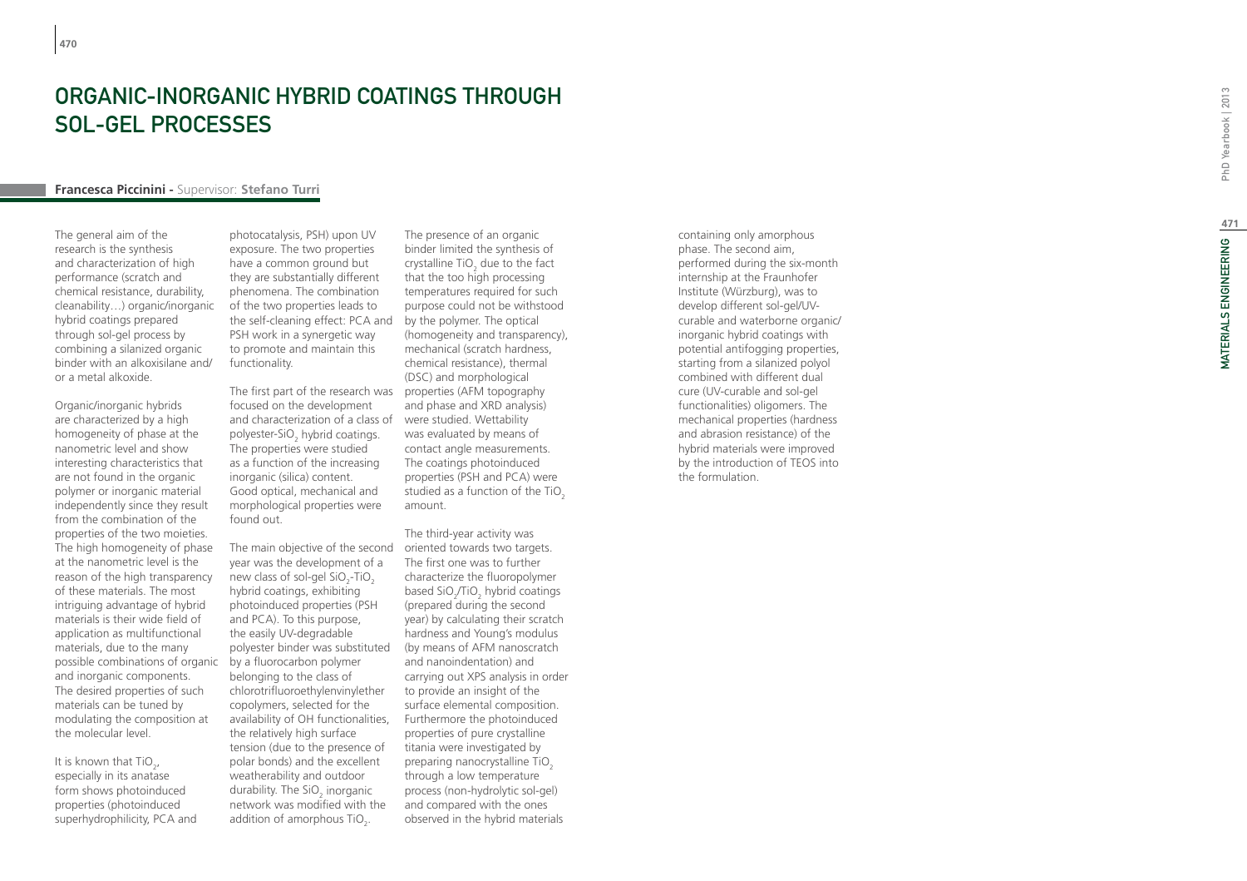# ORGANIC-INORGANIC HYBRID COATINGS THROUGH SOL-GEL PROCESSES

### **Francesca Piccinini -** Supervisor: **Stefano Turri**

The general aim of the research is the synthesis and characterization of high performance (scratch and chemical resistance, durability, cleanability…) organic/inorganic hybrid coatings prepared through sol-gel process by combining a silanized organic binder with an alkoxisilane and/ or a metal alkoxide.

Organic/inorganic hybrids are characterized by a high homogeneity of phase at the nanometric level and show interesting characteristics that are not found in the organic polymer or inorganic material independently since they result from the combination of the properties of the two moieties. The high homogeneity of phase at the nanometric level is the reason of the high transparency of these materials. The most intriguing advantage of hybrid materials is their wide field of application as multifunctional materials, due to the many possible combinations of organic by a fluorocarbon polymer and inorganic components. The desired properties of such materials can be tuned by modulating the composition at the molecular level.

It is known that  $TiO<sub>2</sub>$ , especially in its anatase form shows photoinduced properties (photoinduced superhydrophilicity, PCA and photocatalysis, PSH) upon UV exposure. The two properties have a common ground but they are substantially different phenomena. The combination of the two properties leads to the self-cleaning effect: PCA and PSH work in a synergetic way to promote and maintain this functionality.

The first part of the research was properties (AFM topography focused on the development and characterization of a class of polyester-SiO hybrid coatings. 2 The properties were studied as a function of the increasing inorganic (silica) content. Good optical, mechanical and morphological properties were found out.

The main objective of the second oriented towards two targets. year was the development of a new class of sol-gel  $SiO_2$ -TiO<sub>2</sub> hybrid coatings, exhibiting photoinduced properties (PSH and PCA). To this purpose, the easily UV-degradable polyester binder was substituted belonging to the class of chlorotrifluoroethylenvinylether copolymers, selected for the availability of OH functionalities, the relatively high surface tension (due to the presence of polar bonds) and the excellent weatherability and outdoor durability. The SiO<sub>2</sub> inorganic  $a$  and  $b$ ,  $b$ ,  $c$   $b$   $b$ ,  $c$   $b$ ,  $c$   $b$ ,  $c$   $b$ ,  $c$   $b$ ,  $d$ ,  $d$ ,  $e$ addition of amorphous TiO<sub>2</sub>.

The presence of an organic binder limited the synthesis of crystalline  $TiO<sub>2</sub>$  due to the fact  $\frac{1}{2}$  and  $\frac{1}{2}$  and  $\frac{1}{2}$  and  $\frac{1}{2}$  that the too high processing temperatures required for such purpose could not be withstood by the polymer. The optical (homogeneity and transparency), mechanical (scratch hardness, chemical resistance), thermal (DSC) and morphological and phase and XRD analysis) were studied. Wettability was evaluated by means of contact angle measurements. The coatings photoinduced properties (PSH and PCA) were studied as a function of the TiO $_{\rm 2}$ amount.

The third-year activity was The first one was to further characterize the fluoropolymer based SiO /TiO hybrid coatings  $2^{2}$   $10^{2}$   $10^{2}$   $10^{2}$   $10^{2}$   $10^{2}$   $10^{2}$   $10^{2}$   $10^{2}$   $10^{2}$   $10^{2}$ year) by calculating their scratch hardness and Young's modulus (by means of AFM nanoscratch and nanoindentation) and carrying out XPS analysis in order to provide an insight of the surface elemental composition. Furthermore the photoinduced properties of pure crystalline titania were investigated by preparing nanocrystalline TiO<sub>2</sub> through a low temperature process (non-hydrolytic sol-gel) and compared with the ones observed in the hybrid materials

containing only amorphous phase. The second aim, performed during the six-month internship at the Fraunhofer Institute (Würzburg), was to develop different sol-gel/UVcurable and waterborne organic/ inorganic hybrid coatings with potential antifogging properties, starting from a silanized polyol combined with different dual cure (UV-curable and sol-gel functionalities) oligomers. The mechanical properties (hardness and abrasion resistance) of the hybrid materials were improved by the introduction of TEOS into the formulation.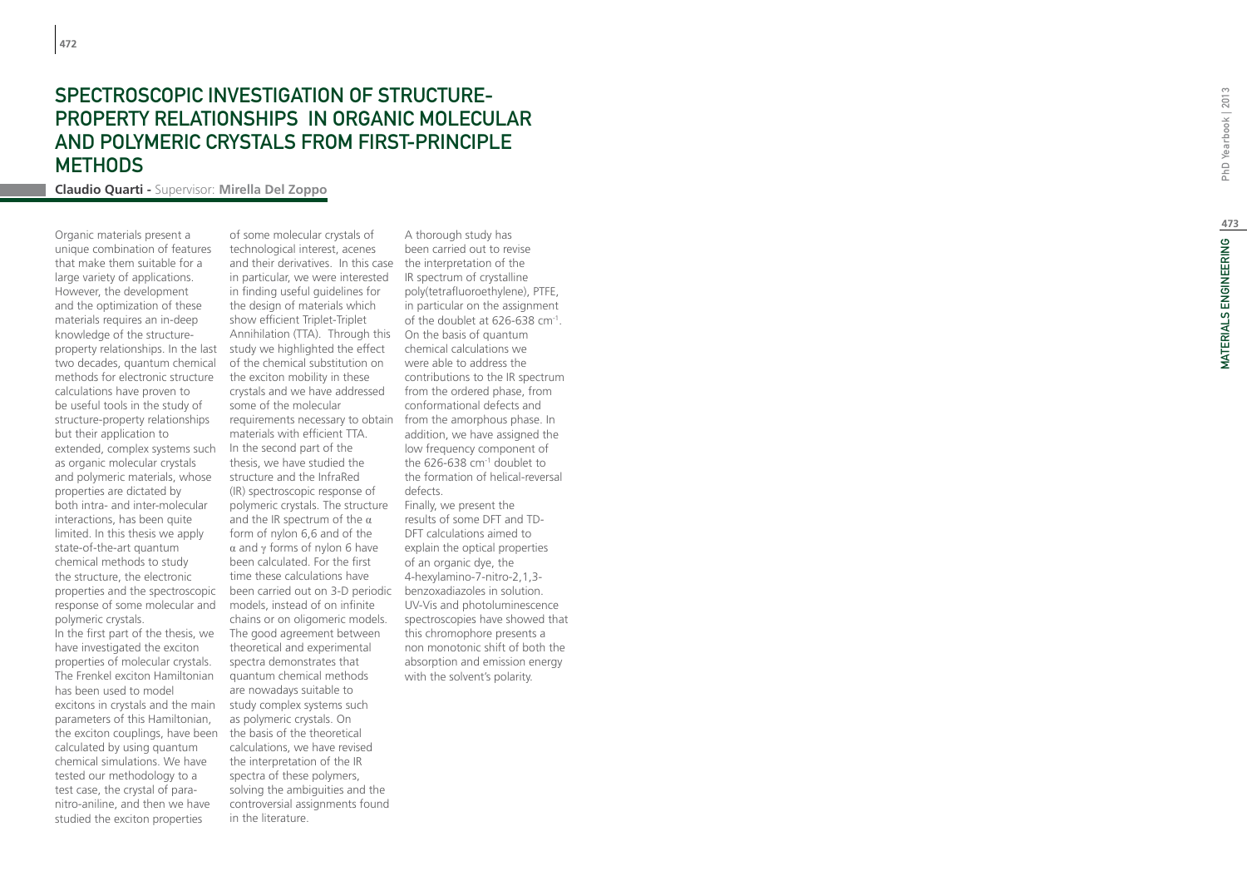### Spectroscopic in vestigation of str uct ure - PROPERTY RELATIONSHIPS IN ORGANIC MOLECU and polymeric crystals from first-principle **METHODS**

**Claudio Quarti -** Supervisor: **Mirella Del Zoppo**

Organic materials present a unique combination of features that make them suitable for a large variety of applications. However, the development and the optimization of these materials requires an in-deep knowledge of the structureproperty relationships. In the last two decades, quantum chemical methods for electronic structure calculations have proven to be useful tools in the study of structure-property relationships but their application to extended, complex systems such as organic molecular crystals and polymeric materials, whose properties are dictated by both intra- and inter-molecular interactions, has been quite limited. In this thesis we apply state-of-the-art quantum chemical methods to study the structure, the electronic properties and the spectroscopic response of some molecular and polymeric crystals. In the first part of the thesis, we have investigated the exciton properties of molecular crystals. The Frenkel exciton Hamiltonian has been used to model excitons in crystals and the main parameters of this Hamiltonian, the exciton couplings, have been

calculated by using quantum chemical simulations. We have tested our methodology to a test case, the crystal of paranitro-aniline, and then we have studied the exciton properties

and their derivatives. In this case the interpretation of the Annihilation (TTA). Through this On the basis of quantum been carried out on 3-D periodic benzoxadiazoles in solution. of some molecular crystals of technological interest, acenes in particular, we were interested in finding useful guidelines for the design of materials which show efficient Triplet-Triplet study we highlighted the effect of the chemical substitution on the exciton mobility in these crystals and we have addressed some of the molecular requirements necessary to obtain materials with efficient TTA. In the second part of the thesis, we have studied the structure and the InfraRed (IR) spectroscopic response of polymeric crystals. The structure and the IR spectrum of the  $\alpha$ form of nylon 6,6 and of the α and γ forms of nylon 6 have been calculated. For the first time these calculations have models, instead of on infinite chains or on oligomeric models. The good agreement between theoretical and experimental spectra demonstrates that quantum chemical methods are nowadays suitable to study complex systems such as polymeric crystals. On the basis of the theoretical calculations, we have revised the interpretation of the IR spectra of these polymers, solving the ambiguities and the controversial assignments found in the literature.

A thorough study has been carried out to revise IR spectrum of crystalline poly(tetrafluoroethylene), PTFE, in particular on the assignment of the doublet at 626-638 cm-1 . chemical calculations we were able to address the contributions to the IR spectrum from the ordered phase, from conformational defects and from the amorphous phase. In addition, we have assigned the low frequency component of the 626-638 cm-1 doublet to the formation of helical-reversal defects. Finally, we present the results of some DFT and TD-DFT calculations aimed to explain the optical properties of an organic dye, the 4-hexylamino-7-nitro-2,1,3- UV-Vis and photoluminescence spectroscopies have showed that this chromophore presents a non monotonic shift of both the absorption and emission energy with the solvent's polarity.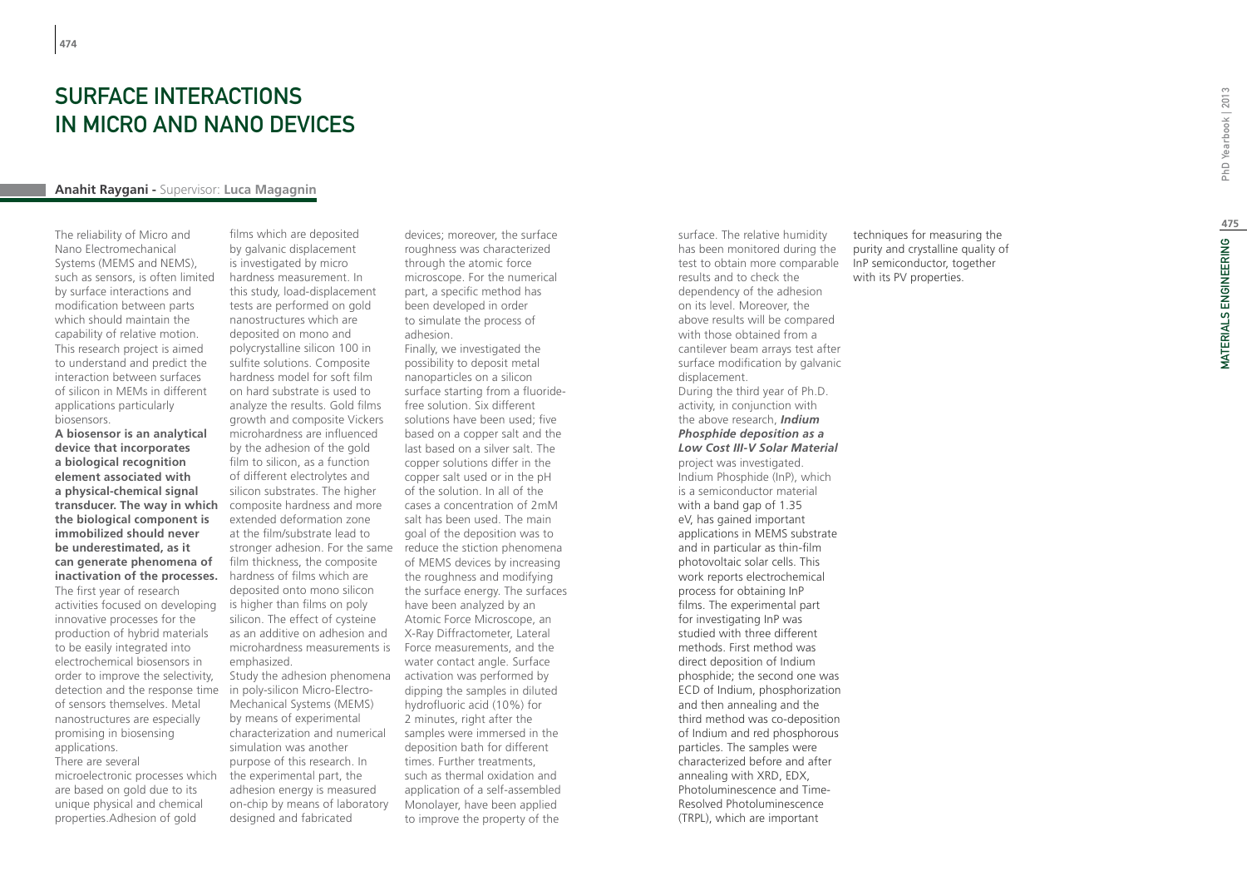**474**

## SURFACE INTERACTIONS IN MICRO AND NANO DEVICES

### **Anahit Raygani -** Supervisor: **Luca Magagnin**

The reliability of Micro and Nano Electromechanical Systems (MEMS and NEMS), such as sensors, is often limited by surface interactions and modification between parts which should maintain the capability of relative motion. This research project is aimed to understand and predict the interaction between surfaces of silicon in MEMs in different applications particularly biosensors.

**A biosensor is an analytical device that incorporates a biological recognition element associated with a physical-chemical signal transducer. The way in which the biological component is immobilized should never be underestimated, as it can generate phenomena of inactivation of the processes.**  The first year of research activities focused on developing innovative processes for the production of hybrid materials to be easily integrated into electrochemical biosensors in order to improve the selectivity, detection and the response time of sensors themselves. Metal nanostructures are especially promising in biosensing applications. There are several microelectronic processes which are based on gold due to its unique physical and chemical properties.Adhesion of gold

films which are deposited by galvanic displacement is investigated by micro hardness measurement. In this study, load-displacement tests are performed on gold nanostructures which are deposited on mono and polycrystalline silicon 100 in sulfite solutions. Composite hardness model for soft film on hard substrate is used to analyze the results. Gold films growth and composite Vickers microhardness are influenced by the adhesion of the gold film to silicon, as a function of different electrolytes and silicon substrates. The higher composite hardness and more extended deformation zone at the film/substrate lead to film thickness, the composite hardness of films which are deposited onto mono silicon is higher than films on poly silicon. The effect of cysteine as an additive on adhesion and microhardness measurements is emphasized.

in poly-silicon Micro-Electro-Mechanical Systems (MEMS) by means of experimental characterization and numerical simulation was another purpose of this research. In the experimental part, the adhesion energy is measured on-chip by means of laboratory designed and fabricated

devices; moreover, the surface roughness was characterized through the atomic force microscope. For the numerical part, a specific method has been developed in order to simulate the process of adhesion.

Finally, we investigated the possibility to deposit metal nanoparticles on a silicon surface starting from a fluoridefree solution. Six different solutions have been used; five based on a copper salt and the last based on a silver salt. The copper solutions differ in the copper salt used or in the pH of the solution. In all of the cases a concentration of 2mM salt has been used. The main goal of the deposition was to stronger adhesion. For the same reduce the stiction phenomena of MEMS devices by increasing the roughness and modifying the surface energy. The surfaces have been analyzed by an Atomic Force Microscope, an X-Ray Diffractometer, Lateral Force measurements, and the water contact angle. Surface Study the adhesion phenomena activation was performed by dipping the samples in diluted hydrofluoric acid (10%) for 2 minutes, right after the samples were immersed in the deposition bath for different times. Further treatments, such as thermal oxidation and application of a self-assembled Monolayer, have been applied to improve the property of the

surface. The relative humidity has been monitored during the test to obtain more comparable results and to check the dependency of the adhesion on its level. Moreover, the above results will be compared with those obtained from a cantilever beam arrays test after surface modification by galvanic displacement. During the third year of Ph.D. activity, in conjunction with the above research, *Indium Phosphide deposition as a Low Cost III-V Solar Material*  project was investigated. Indium Phosphide (InP), which is a semiconductor material with a band gap of 1.35 eV, has gained important applications in MEMS substrate and in particular as thin-film photovoltaic solar cells. This work reports electrochemical process for obtaining InP films. The experimental part for investigating InP was studied with three different methods. First method was direct deposition of Indium phosphide; the second one was ECD of Indium, phosphorization and then annealing and the third method was co-deposition of Indium and red phosphorous particles. The samples were characterized before and after annealing with XRD, EDX, Photoluminescence and Time-Resolved Photoluminescence (TRPL), which are important

techniques for measuring the purity and crystalline quality of InP semiconductor, together with its PV properties.